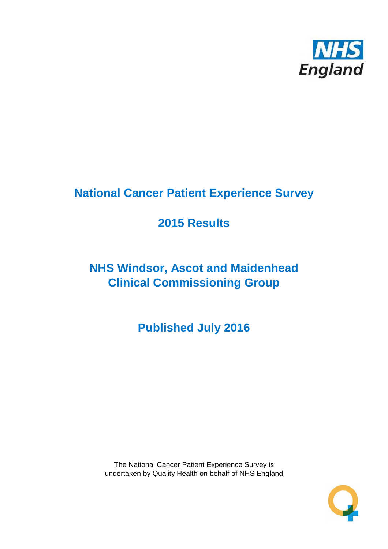

# **National Cancer Patient Experience Survey**

# **2015 Results**

# **NHS Windsor, Ascot and Maidenhead Clinical Commissioning Group**

**Published July 2016**

The National Cancer Patient Experience Survey is undertaken by Quality Health on behalf of NHS England

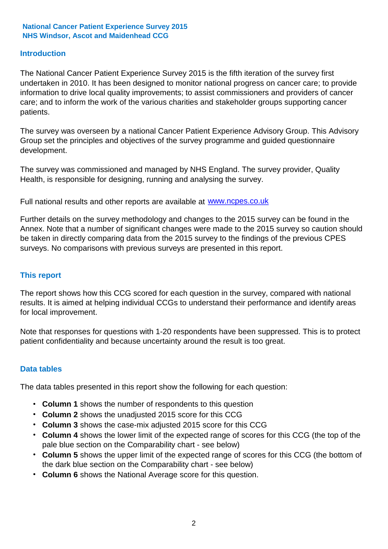### **Introduction**

The National Cancer Patient Experience Survey 2015 is the fifth iteration of the survey first undertaken in 2010. It has been designed to monitor national progress on cancer care; to provide information to drive local quality improvements; to assist commissioners and providers of cancer care; and to inform the work of the various charities and stakeholder groups supporting cancer patients.

The survey was overseen by a national Cancer Patient Experience Advisory Group. This Advisory Group set the principles and objectives of the survey programme and guided questionnaire development.

The survey was commissioned and managed by NHS England. The survey provider, Quality Health, is responsible for designing, running and analysing the survey.

Full national results and other reports are available at www.ncpes.co.uk

Further details on the survey methodology and changes to the 2015 survey can be found in the Annex. Note that a number of significant changes were made to the 2015 survey so caution should be taken in directly comparing data from the 2015 survey to the findings of the previous CPES surveys. No comparisons with previous surveys are presented in this report.

#### **This report**

The report shows how this CCG scored for each question in the survey, compared with national results. It is aimed at helping individual CCGs to understand their performance and identify areas for local improvement.

Note that responses for questions with 1-20 respondents have been suppressed. This is to protect patient confidentiality and because uncertainty around the result is too great.

#### **Data tables**

The data tables presented in this report show the following for each question:

- **Column 1** shows the number of respondents to this question
- **Column 2** shows the unadjusted 2015 score for this CCG
- **Column 3** shows the case-mix adjusted 2015 score for this CCG
- **Column 4** shows the lower limit of the expected range of scores for this CCG (the top of the pale blue section on the Comparability chart - see below)
- **Column 5** shows the upper limit of the expected range of scores for this CCG (the bottom of the dark blue section on the Comparability chart - see below)
- **Column 6** shows the National Average score for this question.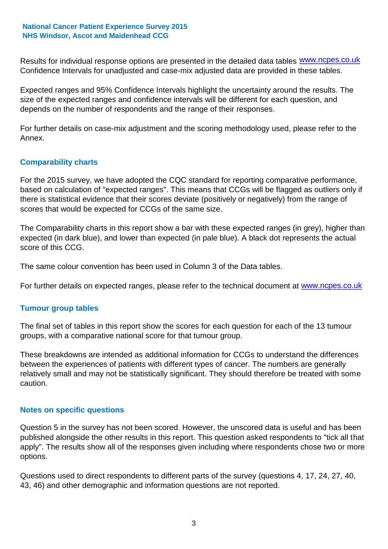Results for individual response options are presented in the detailed data tables **WWW.ncpes.co.uk** Confidence Intervals for unadjusted and case-mix adjusted data are provided in these tables.

Expected ranges and 95% Confidence Intervals highlight the uncertainty around the results. The size of the expected ranges and confidence intervals will be different for each question, and depends on the number of respondents and the range of their responses.

For further details on case-mix adjustment and the scoring methodology used, please refer to the Annex.

### **Comparability charts**

For the 2015 survey, we have adopted the CQC standard for reporting comparative performance, based on calculation of "expected ranges". This means that CCGs will be flagged as outliers only if there is statistical evidence that their scores deviate (positively or negatively) from the range of scores that would be expected for CCGs of the same size.

The Comparability charts in this report show a bar with these expected ranges (in grey), higher than expected (in dark blue), and lower than expected (in pale blue). A black dot represents the actual score of this CCG.

The same colour convention has been used in Column 3 of the Data tables.

For further details on expected ranges, please refer to the technical document at **www.ncpes.co.uk** 

#### **Tumour group tables**

The final set of tables in this report show the scores for each question for each of the 13 tumour groups, with a comparative national score for that tumour group.

These breakdowns are intended as additional information for CCGs to understand the differences between the experiences of patients with different types of cancer. The numbers are generally relatively small and may not be statistically significant. They should therefore be treated with some caution.

#### **Notes on specific questions**

Question 5 in the survey has not been scored. However, the unscored data is useful and has been published alongside the other results in this report. This question asked respondents to "tick all that apply". The results show all of the responses given including where respondents chose two or more options.

Questions used to direct respondents to different parts of the survey (questions 4, 17, 24, 27, 40, 43, 46) and other demographic and information questions are not reported.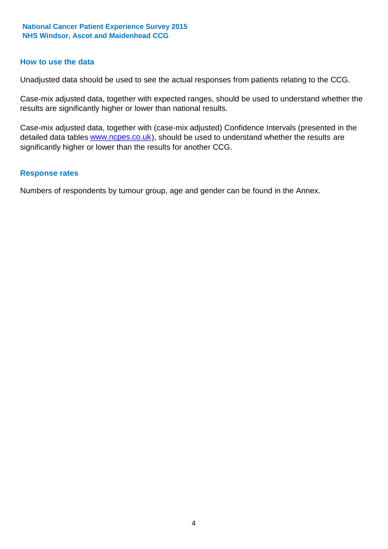#### **How to use the data**

Unadjusted data should be used to see the actual responses from patients relating to the CCG.

Case-mix adjusted data, together with expected ranges, should be used to understand whether the results are significantly higher or lower than national results.

Case-mix adjusted data, together with (case-mix adjusted) Confidence Intervals (presented in the detailed data tables **www.ncpes.co.uk**), should be used to understand whether the results are significantly higher or lower than the results for another CCG.

#### **Response rates**

Numbers of respondents by tumour group, age and gender can be found in the Annex.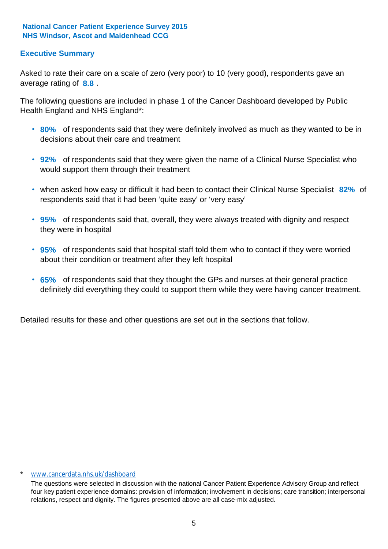### **Executive Summary**

average rating of **8.8**. Asked to rate their care on a scale of zero (very poor) to 10 (very good), respondents gave an

The following questions are included in phase 1 of the Cancer Dashboard developed by Public Health England and NHS England\*:

- **80%** of respondents said that they were definitely involved as much as they wanted to be in decisions about their care and treatment
- **92%** of respondents said that they were given the name of a Clinical Nurse Specialist who would support them through their treatment
- when asked how easy or difficult it had been to contact their Clinical Nurse Specialist 82% of respondents said that it had been 'quite easy' or 'very easy'
- **95%** of respondents said that, overall, they were always treated with dignity and respect they were in hospital
- **95%** of respondents said that hospital staff told them who to contact if they were worried about their condition or treatment after they left hospital
- **65%** of respondents said that they thought the GPs and nurses at their general practice definitely did everything they could to support them while they were having cancer treatment.

Detailed results for these and other questions are set out in the sections that follow.

#### \* www.cancerdata.nhs.uk/dashboard

The questions were selected in discussion with the national Cancer Patient Experience Advisory Group and reflect four key patient experience domains: provision of information; involvement in decisions; care transition; interpersonal relations, respect and dignity. The figures presented above are all case-mix adjusted.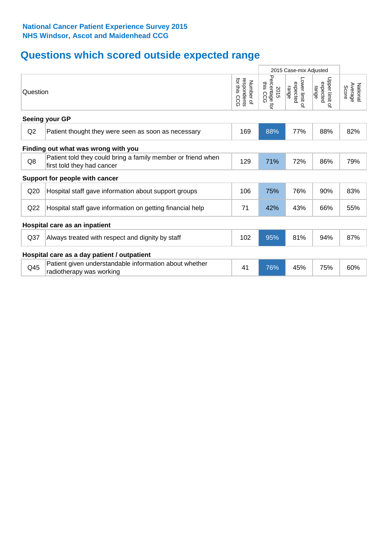# **Questions which scored outside expected range**

|                 |                                                                                            |                                             | 2015 Case-mix Adjusted               |                                     |                                     |                              |
|-----------------|--------------------------------------------------------------------------------------------|---------------------------------------------|--------------------------------------|-------------------------------------|-------------------------------------|------------------------------|
| Question        |                                                                                            | for this<br>respondents<br>Number of<br>CCG | Percentage for<br>ins<br>2015<br>CCG | Lower limit of<br>expected<br>range | Upper limit of<br>expected<br>range | National<br>Average<br>Score |
|                 | Seeing your GP                                                                             |                                             |                                      |                                     |                                     |                              |
| Q2              | Patient thought they were seen as soon as necessary                                        | 169                                         | 88%                                  | 77%                                 | 88%                                 | 82%                          |
|                 | Finding out what was wrong with you                                                        |                                             |                                      |                                     |                                     |                              |
| Q8              | Patient told they could bring a family member or friend when<br>first told they had cancer | 129                                         | 71%                                  | 72%                                 | 86%                                 | 79%                          |
|                 | Support for people with cancer                                                             |                                             |                                      |                                     |                                     |                              |
| Q20             | Hospital staff gave information about support groups                                       | 106                                         | 75%                                  | 76%                                 | 90%                                 | 83%                          |
| Q22             | Hospital staff gave information on getting financial help                                  | 71                                          | 42%                                  | 43%                                 | 66%                                 | 55%                          |
|                 | Hospital care as an inpatient                                                              |                                             |                                      |                                     |                                     |                              |
| Q <sub>37</sub> | Always treated with respect and dignity by staff                                           | 102                                         | 95%                                  | 81%                                 | 94%                                 | 87%                          |
|                 | Hospital care as a day patient / outpatient                                                |                                             |                                      |                                     |                                     |                              |
| Q45             | Patient given understandable information about whether<br>radiotherapy was working         | 41                                          | 76%                                  | 45%                                 | 75%                                 | 60%                          |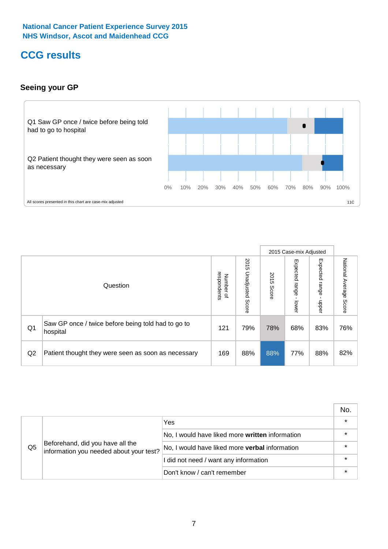# **CCG results**

### **Seeing your GP**



|    |                                                                |                                              |                             |               | 2015 Case-mix Adjusted     |                            |                           |
|----|----------------------------------------------------------------|----------------------------------------------|-----------------------------|---------------|----------------------------|----------------------------|---------------------------|
|    | Question                                                       | respondents<br>Number<br>$\overline{\sigma}$ | 2015<br>Unadjusted<br>Score | 2015<br>Score | Expected<br>range<br>lower | Expected<br>range<br>nbber | National Average<br>Score |
| Q1 | Saw GP once / twice before being told had to go to<br>hospital | 121                                          | 79%                         | 78%           | 68%                        | 83%                        | 76%                       |
| Q2 | Patient thought they were seen as soon as necessary            | 169                                          | 88%                         | 88%           | 77%                        | 88%                        | 82%                       |

|    |                                                                             |                                                 | No. |
|----|-----------------------------------------------------------------------------|-------------------------------------------------|-----|
|    | Beforehand, did you have all the<br>information you needed about your test? | Yes                                             |     |
| Q5 |                                                                             | No, I would have liked more written information |     |
|    |                                                                             | No, I would have liked more verbal information  |     |
|    |                                                                             | I did not need / want any information           |     |
|    |                                                                             | Don't know / can't remember                     |     |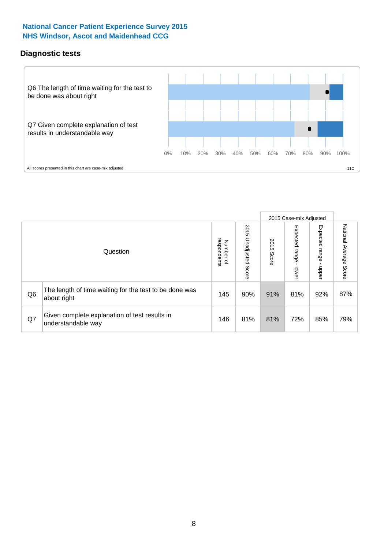### **Diagnostic tests**



|                |                                                                       |                                       |                             |               | 2015 Case-mix Adjusted  |                              |                           |
|----------------|-----------------------------------------------------------------------|---------------------------------------|-----------------------------|---------------|-------------------------|------------------------------|---------------------------|
|                | Question                                                              | respondents<br>Number<br>$\mathbf{Q}$ | 2015<br>Unadjusted<br>Score | 2015<br>Score | Expected range<br>lower | Expected<br>l range<br>nbber | National Average<br>Score |
| Q <sub>6</sub> | The length of time waiting for the test to be done was<br>about right | 145                                   | 90%                         | 91%           | 81%                     | 92%                          | 87%                       |
| Q7             | Given complete explanation of test results in<br>understandable way   | 146                                   | 81%                         | 81%           | 72%                     | 85%                          | 79%                       |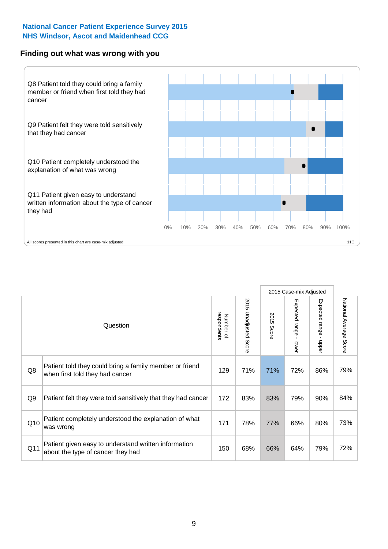#### **Finding out what was wrong with you**



|     |                                                                                            |                          |                                 |               | 2015 Case-mix Adjusted                  |                           |                        |
|-----|--------------------------------------------------------------------------------------------|--------------------------|---------------------------------|---------------|-----------------------------------------|---------------------------|------------------------|
|     | Question                                                                                   | respondents<br>Number of | 2015<br><b>Unadjusted Score</b> | 2015<br>Score | Expected range<br>$\mathbf{L}$<br>lower | Expected range -<br>nbber | National Average Score |
| Q8  | Patient told they could bring a family member or friend<br>when first told they had cancer | 129                      | 71%                             | 71%           | 72%                                     | 86%                       | 79%                    |
| Q9  | Patient felt they were told sensitively that they had cancer                               | 172                      | 83%                             | 83%           | 79%                                     | 90%                       | 84%                    |
| Q10 | Patient completely understood the explanation of what<br>was wrong                         | 171                      | 78%                             | 77%           | 66%                                     | 80%                       | 73%                    |
| Q11 | Patient given easy to understand written information<br>about the type of cancer they had  | 150                      | 68%                             | 66%           | 64%                                     | 79%                       | 72%                    |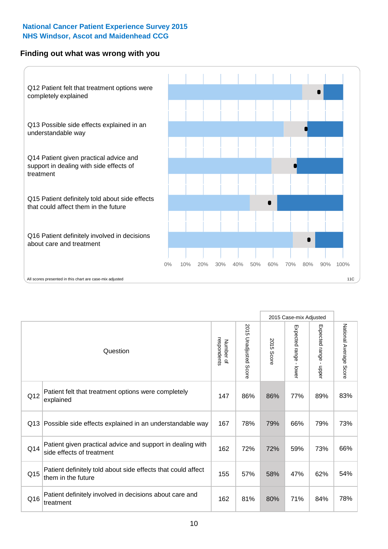### **Finding out what was wrong with you**



|          |                                                                                         |                          |                          |               | 2015 Case-mix Adjusted                  |                                           |                        |
|----------|-----------------------------------------------------------------------------------------|--------------------------|--------------------------|---------------|-----------------------------------------|-------------------------------------------|------------------------|
| Question |                                                                                         | Number of<br>respondents | 2015<br>Unadjusted Score | 2015<br>Score | Expected range<br>$\mathbf{r}$<br>lower | Expected range<br>$\blacksquare$<br>nbber | National Average Score |
| Q12      | Patient felt that treatment options were completely<br>explained                        | 147                      | 86%                      | 86%           | 77%                                     | 89%                                       | 83%                    |
| Q13      | Possible side effects explained in an understandable way                                | 167                      | 78%                      | 79%           | 66%                                     | 79%                                       | 73%                    |
| Q14      | Patient given practical advice and support in dealing with<br>side effects of treatment | 162                      | 72%                      | 72%           | 59%                                     | 73%                                       | 66%                    |
| Q15      | Patient definitely told about side effects that could affect<br>them in the future      | 155                      | 57%                      | 58%           | 47%                                     | 62%                                       | 54%                    |
| Q16      | Patient definitely involved in decisions about care and<br>treatment                    | 162                      | 81%                      | 80%           | 71%                                     | 84%                                       | 78%                    |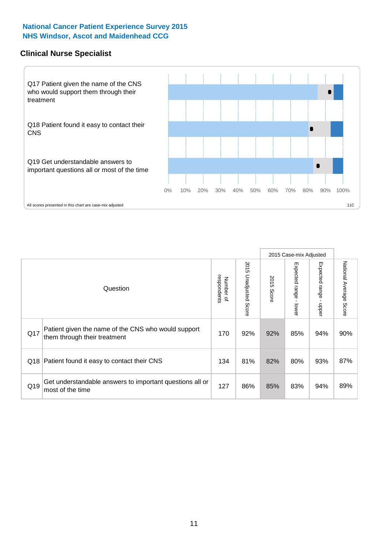#### **Clinical Nurse Specialist**



|     |                                                                                     |                          |                       |               | 2015 Case-mix Adjusted  |                         |                                  |
|-----|-------------------------------------------------------------------------------------|--------------------------|-----------------------|---------------|-------------------------|-------------------------|----------------------------------|
|     | Question                                                                            | respondents<br>Number of | 2015 Unadjusted Score | 2015<br>Score | Expected range<br>lower | Expected range<br>nbber | National Average<br><b>Score</b> |
| Q17 | Patient given the name of the CNS who would support<br>them through their treatment | 170                      | 92%                   | 92%           | 85%                     | 94%                     | 90%                              |
| Q18 | Patient found it easy to contact their CNS                                          | 134                      | 81%                   | 82%           | 80%                     | 93%                     | 87%                              |
| Q19 | Get understandable answers to important questions all or<br>most of the time        | 127                      | 86%                   | 85%           | 83%                     | 94%                     | 89%                              |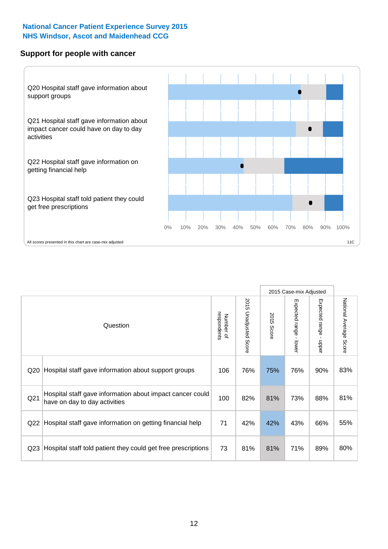#### **Support for people with cancer**



|                 |                                                                                            |                          |                                 |                      | 2015 Case-mix Adjusted                  |                                           |                        |
|-----------------|--------------------------------------------------------------------------------------------|--------------------------|---------------------------------|----------------------|-----------------------------------------|-------------------------------------------|------------------------|
|                 | Question                                                                                   | respondents<br>Number of | 2015<br><b>Unadjusted Score</b> | 2015<br><b>Score</b> | Expected range<br>$\mathbf{I}$<br>lower | Expected range<br>$\blacksquare$<br>nbber | National Average Score |
| Q20             | Hospital staff gave information about support groups                                       | 106                      | 76%                             | 75%                  | 76%                                     | 90%                                       | 83%                    |
| Q <sub>21</sub> | Hospital staff gave information about impact cancer could<br>have on day to day activities | 100                      | 82%                             | 81%                  | 73%                                     | 88%                                       | 81%                    |
| Q22             | Hospital staff gave information on getting financial help                                  | 71                       | 42%                             | 42%                  | 43%                                     | 66%                                       | 55%                    |
| Q <sub>23</sub> | Hospital staff told patient they could get free prescriptions                              | 73                       | 81%                             | 81%                  | 71%                                     | 89%                                       | 80%                    |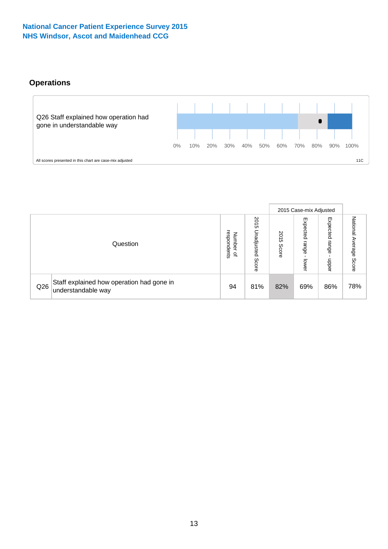### **Operations**



|     |                                                                 |                                         |                             |               | 2015 Case-mix Adjusted     |                           |                              |
|-----|-----------------------------------------------------------------|-----------------------------------------|-----------------------------|---------------|----------------------------|---------------------------|------------------------------|
|     | Question                                                        | respondents<br>Number<br>$\overline{a}$ | 2015<br>Unadjusted<br>Score | 2015<br>Score | Expected<br>range<br>lower | Expected<br>range<br>ddoe | National<br>Average<br>Score |
| Q26 | Staff explained how operation had gone in<br>understandable way | 94                                      | 81%                         | 82%           | 69%                        | 86%                       | 78%                          |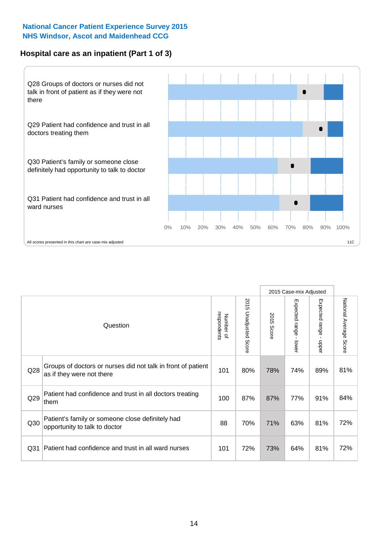### **Hospital care as an inpatient (Part 1 of 3)**



All scores presented in this chart are case-mix adjusted  $\blacksquare$  and  $\blacksquare$  and  $\blacksquare$  and  $\blacksquare$  and  $\blacksquare$  and  $\blacksquare$  and  $\blacksquare$  and  $\blacksquare$  and  $\blacksquare$  and  $\blacksquare$  and  $\blacksquare$  and  $\blacksquare$  and  $\blacksquare$  and  $\blacksquare$  and  $\blacksquare$  and

|                 |                                                                                           |                          |                                 |                      | 2015 Case-mix Adjusted                    |                                           |                        |
|-----------------|-------------------------------------------------------------------------------------------|--------------------------|---------------------------------|----------------------|-------------------------------------------|-------------------------------------------|------------------------|
|                 | Question                                                                                  | respondents<br>Number of | 2015<br><b>Unadjusted Score</b> | 2015<br><b>Score</b> | Expected range<br>$\blacksquare$<br>lower | Expected range<br>$\blacksquare$<br>nbber | National Average Score |
| Q28             | Groups of doctors or nurses did not talk in front of patient<br>as if they were not there | 101                      | 80%                             | 78%                  | 74%                                       | 89%                                       | 81%                    |
| Q29             | Patient had confidence and trust in all doctors treating<br>them                          | 100                      | 87%                             | 87%                  | 77%                                       | 91%                                       | 84%                    |
| Q30             | Patient's family or someone close definitely had<br>opportunity to talk to doctor         | 88                       | 70%                             | 71%                  | 63%                                       | 81%                                       | 72%                    |
| Q <sub>31</sub> | Patient had confidence and trust in all ward nurses                                       | 101                      | 72%                             | 73%                  | 64%                                       | 81%                                       | 72%                    |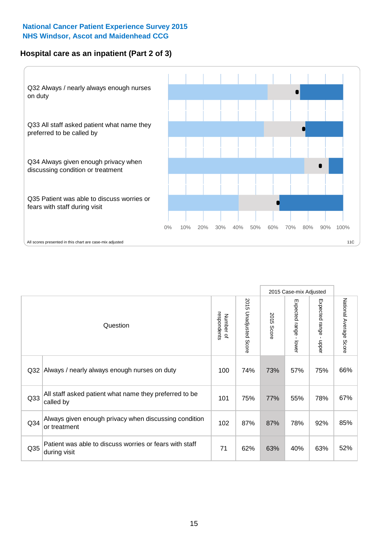### **Hospital care as an inpatient (Part 2 of 3)**



|                 |                                                                         |                          |                          |               | 2015 Case-mix Adjusted                  |                                         |                        |
|-----------------|-------------------------------------------------------------------------|--------------------------|--------------------------|---------------|-----------------------------------------|-----------------------------------------|------------------------|
|                 | Question                                                                | respondents<br>Number of | 2015<br>Unadjusted Score | 2015<br>Score | Expected range<br>$\mathbf{r}$<br>lower | Expected range<br>$\mathbf{I}$<br>nbber | National Average Score |
| Q <sub>32</sub> | Always / nearly always enough nurses on duty                            | 100                      | 74%                      | 73%           | 57%                                     | 75%                                     | 66%                    |
| Q <sub>33</sub> | All staff asked patient what name they preferred to be<br>called by     | 101                      | 75%                      | 77%           | 55%                                     | 78%                                     | 67%                    |
| Q <sub>34</sub> | Always given enough privacy when discussing condition<br>or treatment   | 102                      | 87%                      | 87%           | 78%                                     | 92%                                     | 85%                    |
| Q <sub>35</sub> | Patient was able to discuss worries or fears with staff<br>during visit | 71                       | 62%                      | 63%           | 40%                                     | 63%                                     | 52%                    |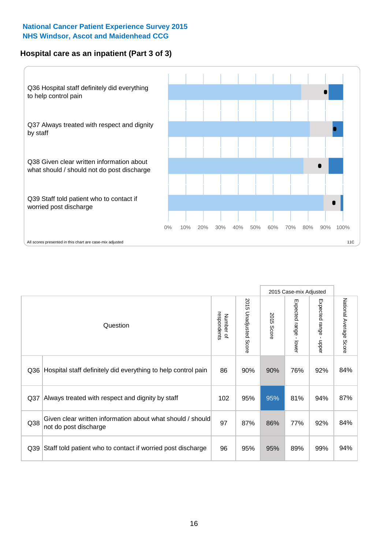### **Hospital care as an inpatient (Part 3 of 3)**



|                 |                                                                                     |                          |                                 |               | 2015 Case-mix Adjusted                  |                           |                        |
|-----------------|-------------------------------------------------------------------------------------|--------------------------|---------------------------------|---------------|-----------------------------------------|---------------------------|------------------------|
|                 | Question                                                                            | respondents<br>Number of | 2015<br><b>Unadjusted Score</b> | 2015<br>Score | Expected range<br>$\mathbf{r}$<br>lower | Expected range -<br>nbber | National Average Score |
| Q36             | Hospital staff definitely did everything to help control pain                       | 86                       | 90%                             | 90%           | 76%                                     | 92%                       | 84%                    |
| Q <sub>37</sub> | Always treated with respect and dignity by staff                                    | 102                      | 95%                             | 95%           | 81%                                     | 94%                       | 87%                    |
| Q38             | Given clear written information about what should / should<br>not do post discharge | 97                       | 87%                             | 86%           | 77%                                     | 92%                       | 84%                    |
| Q39             | Staff told patient who to contact if worried post discharge                         | 96                       | 95%                             | 95%           | 89%                                     | 99%                       | 94%                    |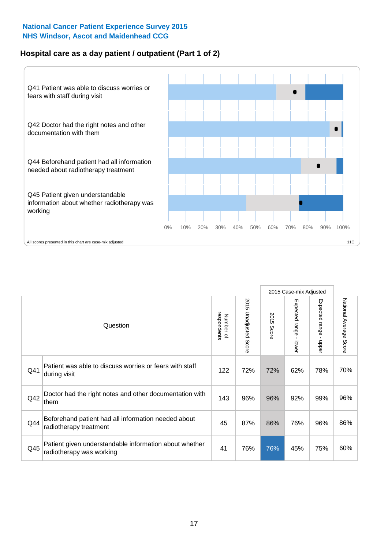### **Hospital care as a day patient / outpatient (Part 1 of 2)**



|     |                                                                                    |                          |                                 | 2015 Case-mix Adjusted |                                         |                                       |                        |
|-----|------------------------------------------------------------------------------------|--------------------------|---------------------------------|------------------------|-----------------------------------------|---------------------------------------|------------------------|
|     | Question                                                                           | respondents<br>Number of | 2015<br><b>Unadjusted Score</b> | 2015<br>Score          | Expected range<br>$\mathbf{r}$<br>lower | Expected range<br>$\mathbf{r}$<br>ddo | National Average Score |
| Q41 | Patient was able to discuss worries or fears with staff<br>during visit            | 122                      | 72%                             | 72%                    | 62%                                     | 78%                                   | 70%                    |
| Q42 | Doctor had the right notes and other documentation with<br>them                    | 143                      | 96%                             | 96%                    | 92%                                     | 99%                                   | 96%                    |
| Q44 | Beforehand patient had all information needed about<br>radiotherapy treatment      | 45                       | 87%                             | 86%                    | 76%                                     | 96%                                   | 86%                    |
| Q45 | Patient given understandable information about whether<br>radiotherapy was working | 41                       | 76%                             | 76%                    | 45%                                     | 75%                                   | 60%                    |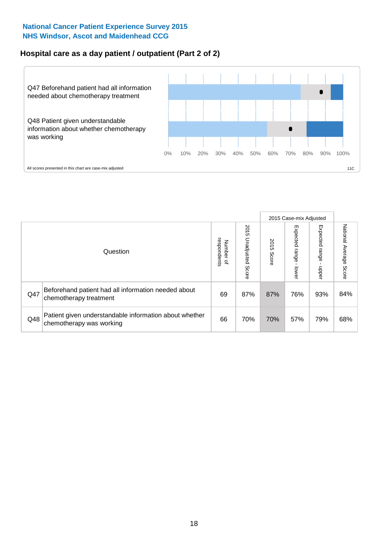## **Hospital care as a day patient / outpatient (Part 2 of 2)**



|     |                                                                                    |                                       |                             | 2015 Case-mix Adjusted |                         |                         |                           |
|-----|------------------------------------------------------------------------------------|---------------------------------------|-----------------------------|------------------------|-------------------------|-------------------------|---------------------------|
|     | Question                                                                           | respondents<br>Number<br>$\mathbf{Q}$ | 2015<br>Unadjusted<br>Score | 2015<br>Score          | Expected range<br>lower | Expected range<br>doper | National Average<br>Score |
| Q47 | Beforehand patient had all information needed about<br>chemotherapy treatment      | 69                                    | 87%                         | 87%                    | 76%                     | 93%                     | 84%                       |
| Q48 | Patient given understandable information about whether<br>chemotherapy was working | 66                                    | 70%                         | 70%                    | 57%                     | 79%                     | 68%                       |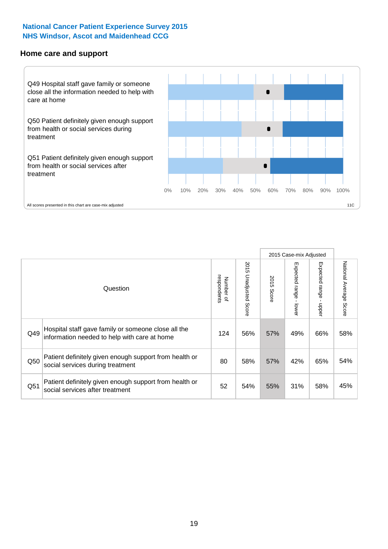#### **Home care and support**



|     |                                                                                                     |                          |                       |               | 2015 Case-mix Adjusted       |                         |                        |
|-----|-----------------------------------------------------------------------------------------------------|--------------------------|-----------------------|---------------|------------------------------|-------------------------|------------------------|
|     | Question                                                                                            | respondents<br>Number of | 2015 Unadjusted Score | 2015<br>Score | Expected<br>l range<br>lower | Expected range<br>nbber | National Average Score |
| Q49 | Hospital staff gave family or someone close all the<br>information needed to help with care at home | 124                      | 56%                   | 57%           | 49%                          | 66%                     | 58%                    |
| Q50 | Patient definitely given enough support from health or<br>social services during treatment          | 80                       | 58%                   | 57%           | 42%                          | 65%                     | 54%                    |
| Q51 | Patient definitely given enough support from health or<br>social services after treatment           | 52                       | 54%                   | 55%           | 31%                          | 58%                     | 45%                    |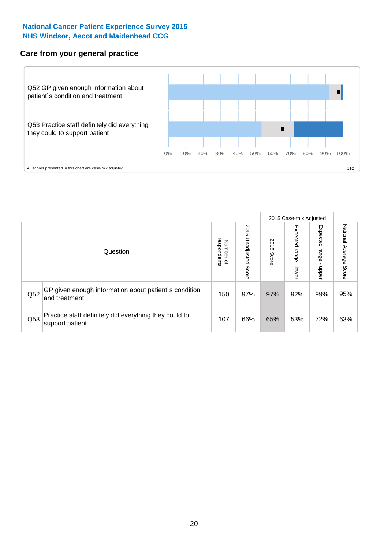### **Care from your general practice**



|     |                                                                           |                                       |                             | 2015 Case-mix Adjusted |                         |                         |                           |
|-----|---------------------------------------------------------------------------|---------------------------------------|-----------------------------|------------------------|-------------------------|-------------------------|---------------------------|
|     | Question                                                                  | respondents<br>Number<br>$\mathbf{Q}$ | 2015<br>Unadjusted<br>Score | 2015<br>Score          | Expected range<br>lower | Expected range<br>doper | National Average<br>Score |
| Q52 | GP given enough information about patient's condition<br>and treatment    | 150                                   | 97%                         | 97%                    | 92%                     | 99%                     | 95%                       |
| Q53 | Practice staff definitely did everything they could to<br>support patient | 107                                   | 66%                         | 65%                    | 53%                     | 72%                     | 63%                       |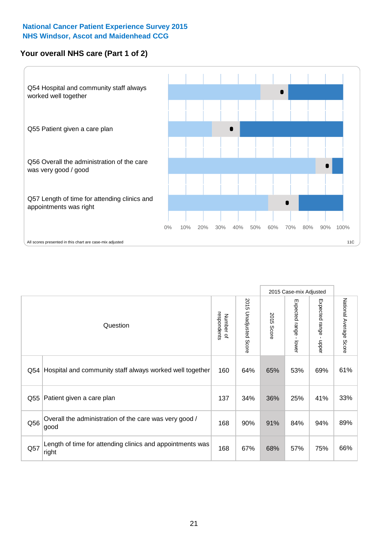### **Your overall NHS care (Part 1 of 2)**



|     |                                                                    |                          |                          | 2015 Case-mix Adjusted |                                         |                                           |                        |
|-----|--------------------------------------------------------------------|--------------------------|--------------------------|------------------------|-----------------------------------------|-------------------------------------------|------------------------|
|     | Question                                                           | respondents<br>Number of | 2015<br>Unadjusted Score | 2015<br>Score          | Expected range<br>$\mathbf{I}$<br>lower | Expected range<br>$\blacksquare$<br>nbber | National Average Score |
| Q54 | Hospital and community staff always worked well together           | 160                      | 64%                      | 65%                    | 53%                                     | 69%                                       | 61%                    |
| Q55 | Patient given a care plan                                          | 137                      | 34%                      | 36%                    | 25%                                     | 41%                                       | 33%                    |
| Q56 | Overall the administration of the care was very good /<br>good     | 168                      | 90%                      | 91%                    | 84%                                     | 94%                                       | 89%                    |
| Q57 | Length of time for attending clinics and appointments was<br>right | 168                      | 67%                      | 68%                    | 57%                                     | 75%                                       | 66%                    |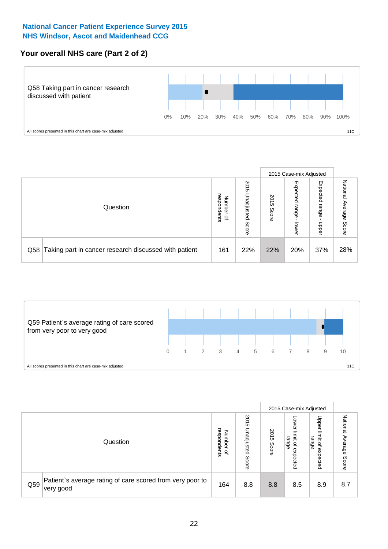## **Your overall NHS care (Part 2 of 2)**



|     |                                                       |                                   |                             |               | 2015 Case-mix Adjusted     |                            |                           |
|-----|-------------------------------------------------------|-----------------------------------|-----------------------------|---------------|----------------------------|----------------------------|---------------------------|
|     | Question                                              | respondents<br>Number<br>$\Omega$ | 2015<br>Unadjusted<br>Score | 2015<br>Score | Expected<br>range<br>lower | Expected<br>range<br>doper | National<br>Average Score |
| Q58 | Taking part in cancer research discussed with patient | 161                               | 22%                         | 22%           | 20%                        | 37%                        | 28%                       |



|     |                                                                        |                                              |                             |               | 2015 Case-mix Adjusted                  |                                                       |                              |
|-----|------------------------------------------------------------------------|----------------------------------------------|-----------------------------|---------------|-----------------------------------------|-------------------------------------------------------|------------------------------|
|     | Question                                                               | respondents<br>Number<br>$\overline{\sigma}$ | 2015<br>Jnadjusted<br>Score | 2015<br>Score | OWer<br>limit<br>range<br>٩<br>expected | Upper<br>limit<br>range<br>$\overline{a}$<br>expected | National<br>Average<br>Score |
| Q59 | Patient's average rating of care scored from very poor to<br>very good | 164                                          | 8.8                         | 8.8           | 8.5                                     | 8.9                                                   | 8.7                          |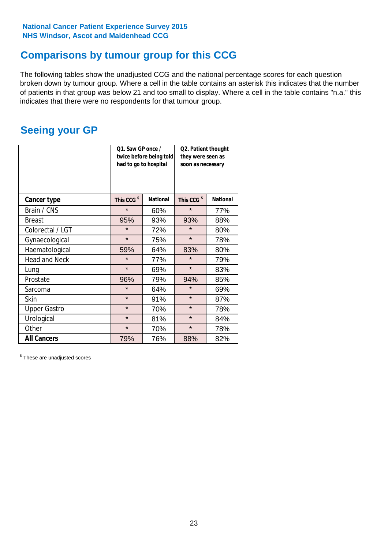# **Comparisons by tumour group for this CCG**

The following tables show the unadjusted CCG and the national percentage scores for each question broken down by tumour group. Where a cell in the table contains an asterisk this indicates that the number of patients in that group was below 21 and too small to display. Where a cell in the table contains "n.a." this indicates that there were no respondents for that tumour group.

# **Seeing your GP**

|                      | Q1. Saw GP once /<br>had to go to hospital | twice before being told | Q2. Patient thought<br>they were seen as<br>soon as necessary |                 |  |
|----------------------|--------------------------------------------|-------------------------|---------------------------------------------------------------|-----------------|--|
| <b>Cancer type</b>   | This CCG <sup>\$</sup>                     | <b>National</b>         | This CCG <sup>\$</sup>                                        | <b>National</b> |  |
| Brain / CNS          | $\star$                                    | 60%                     | $\star$                                                       | 77%             |  |
| <b>Breast</b>        | 95%                                        | 93%                     | 93%                                                           | 88%             |  |
| Colorectal / LGT     | $\star$                                    | 72%                     | $\star$                                                       | 80%             |  |
| Gynaecological       | $\star$                                    | 75%                     | $\star$                                                       | 78%             |  |
| Haematological       | 59%                                        | 64%                     | 83%                                                           | 80%             |  |
| <b>Head and Neck</b> | $\star$                                    | 77%                     | $\star$                                                       | 79%             |  |
| Lung                 | $\star$                                    | 69%                     | $\star$                                                       | 83%             |  |
| Prostate             | 96%                                        | 79%                     | 94%                                                           | 85%             |  |
| Sarcoma              | $\star$                                    | 64%                     | $\star$                                                       | 69%             |  |
| Skin                 | $\star$                                    | 91%                     | $\star$                                                       | 87%             |  |
| <b>Upper Gastro</b>  | $\star$                                    | 70%                     | $\star$                                                       | 78%             |  |
| Urological           | $\star$                                    | 81%                     | $\star$                                                       | 84%             |  |
| Other                | $\star$<br>70%                             |                         | $\star$                                                       | 78%             |  |
| <b>All Cancers</b>   | 79%                                        | 76%                     | 88%                                                           | 82%             |  |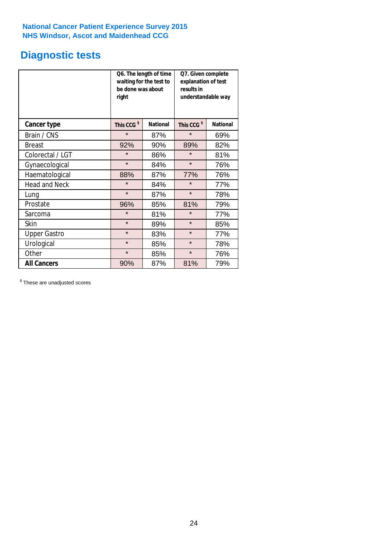# **Diagnostic tests**

|                      | be done was about<br>right | Q6. The length of time<br>waiting for the test to | Q7. Given complete<br>explanation of test<br>results in<br>understandable way |                 |  |
|----------------------|----------------------------|---------------------------------------------------|-------------------------------------------------------------------------------|-----------------|--|
| <b>Cancer type</b>   | This CCG <sup>\$</sup>     | <b>National</b>                                   | This CCG <sup>\$</sup>                                                        | <b>National</b> |  |
| Brain / CNS          | $\star$                    | 87%                                               | $\star$                                                                       | 69%             |  |
| <b>Breast</b>        | 92%                        | 90%                                               | 89%                                                                           | 82%             |  |
| Colorectal / LGT     | $\star$                    | 86%                                               | $\star$                                                                       | 81%             |  |
| Gynaecological       | $\star$                    | 84%                                               | $\star$                                                                       | 76%             |  |
| Haematological       | 88%                        | 87%                                               | 77%                                                                           | 76%             |  |
| <b>Head and Neck</b> | $\star$                    | 84%                                               | $\star$                                                                       | 77%             |  |
| Lung                 | $\star$                    | 87%                                               | $\star$                                                                       | 78%             |  |
| Prostate             | 96%                        | 85%                                               | 81%                                                                           | 79%             |  |
| Sarcoma              | $\star$                    | 81%                                               | $\star$                                                                       | 77%             |  |
| Skin                 | $\star$                    | 89%                                               | $\star$                                                                       | 85%             |  |
| <b>Upper Gastro</b>  | $\star$                    | 83%                                               | $\star$                                                                       | 77%             |  |
| Urological           | $\star$                    | 85%                                               | $\star$                                                                       | 78%             |  |
| Other                | $\star$                    | 85%                                               | $\star$                                                                       | 76%             |  |
| <b>All Cancers</b>   | 90%                        | 87%                                               | 81%                                                                           | 79%             |  |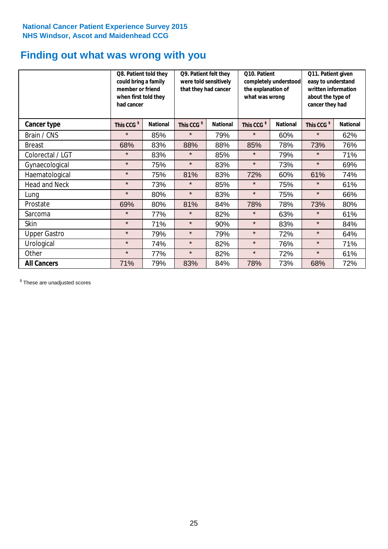# **Finding out what was wrong with you**

|                      | Q8. Patient told they<br>could bring a family<br>member or friend<br>when first told they<br>had cancer |                 | Q9. Patient felt they<br>were told sensitively<br>that they had cancer |                 | Q10. Patient<br>completely understood<br>the explanation of<br>what was wrong |                 | Q11. Patient given<br>easy to understand<br>written information<br>about the type of<br>cancer they had |                 |
|----------------------|---------------------------------------------------------------------------------------------------------|-----------------|------------------------------------------------------------------------|-----------------|-------------------------------------------------------------------------------|-----------------|---------------------------------------------------------------------------------------------------------|-----------------|
| <b>Cancer type</b>   | This CCG <sup>\$</sup>                                                                                  | <b>National</b> | This CCG <sup>\$</sup>                                                 | <b>National</b> | This CCG <sup>\$</sup>                                                        | <b>National</b> | This CCG <sup>\$</sup>                                                                                  | <b>National</b> |
| Brain / CNS          | $\star$                                                                                                 | 85%             | $\star$                                                                | 79%             | $\star$                                                                       | 60%             | $\star$                                                                                                 | 62%             |
| <b>Breast</b>        | 68%                                                                                                     | 83%             | 88%                                                                    | 88%             | 85%                                                                           | 78%             | 73%                                                                                                     | 76%             |
| Colorectal / LGT     | $\star$                                                                                                 | 83%             | $\star$                                                                | 85%             | $\star$                                                                       | 79%             | $\star$                                                                                                 | 71%             |
| Gynaecological       | $\star$                                                                                                 | 75%             | $\star$                                                                | 83%             | $\star$                                                                       | 73%             | $\star$                                                                                                 | 69%             |
| Haematological       | $\star$                                                                                                 | 75%             | 81%                                                                    | 83%             | 72%                                                                           | 60%             | 61%                                                                                                     | 74%             |
| <b>Head and Neck</b> | $\star$                                                                                                 | 73%             | $\star$                                                                | 85%             | $\star$                                                                       | 75%             | $\star$                                                                                                 | 61%             |
| Lung                 | $\star$                                                                                                 | 80%             | $\star$                                                                | 83%             | $\star$                                                                       | 75%             | $\star$                                                                                                 | 66%             |
| Prostate             | 69%                                                                                                     | 80%             | 81%                                                                    | 84%             | 78%                                                                           | 78%             | 73%                                                                                                     | 80%             |
| Sarcoma              | $\star$                                                                                                 | 77%             | $\star$                                                                | 82%             | $\star$                                                                       | 63%             | $\star$                                                                                                 | 61%             |
| Skin                 | $\star$                                                                                                 | 71%             | $\star$                                                                | 90%             | $\star$                                                                       | 83%             | $\star$                                                                                                 | 84%             |
| <b>Upper Gastro</b>  | $\star$                                                                                                 | 79%             | $\star$                                                                | 79%             | $\star$                                                                       | 72%             | $\star$                                                                                                 | 64%             |
| Urological           | $\star$                                                                                                 | 74%             | $\star$                                                                | 82%             | $\star$                                                                       | 76%             | $\star$                                                                                                 | 71%             |
| Other                | $\star$                                                                                                 | 77%             | $\star$                                                                | 82%             | $\star$                                                                       | 72%             | $\star$                                                                                                 | 61%             |
| <b>All Cancers</b>   | 71%                                                                                                     | 79%             | 83%                                                                    | 84%             | 78%                                                                           | 73%             | 68%                                                                                                     | 72%             |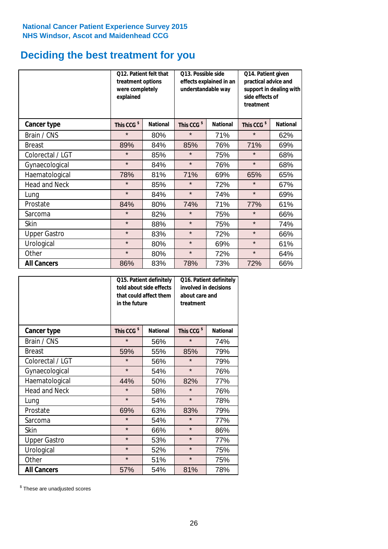# **Deciding the best treatment for you**

|                      | 012. Patient felt that<br>treatment options<br>were completely<br>explained |                 | O13. Possible side<br>understandable way | effects explained in an | Q14. Patient given<br>practical advice and<br>support in dealing with<br>side effects of<br>treatment |                 |  |
|----------------------|-----------------------------------------------------------------------------|-----------------|------------------------------------------|-------------------------|-------------------------------------------------------------------------------------------------------|-----------------|--|
| <b>Cancer type</b>   | This CCG <sup>\$</sup>                                                      | <b>National</b> | This CCG <sup>\$</sup>                   | <b>National</b>         | This CCG <sup>\$</sup>                                                                                | <b>National</b> |  |
| Brain / CNS          | $\star$                                                                     | 80%             | $\star$                                  | 71%                     | $\star$                                                                                               | 62%             |  |
| <b>Breast</b>        | 89%                                                                         | 84%             | 85%                                      | 76%                     | 71%                                                                                                   | 69%             |  |
| Colorectal / LGT     | $\star$                                                                     | 85%             | $\star$                                  | 75%                     | $\star$                                                                                               | 68%             |  |
| Gynaecological       | $\star$                                                                     | 84%             | $\star$                                  | 76%                     | $\star$                                                                                               | 68%             |  |
| Haematological       | 78%                                                                         | 81%             | 71%                                      | 69%                     | 65%                                                                                                   | 65%             |  |
| <b>Head and Neck</b> | $\star$                                                                     | 85%             | $\star$                                  | 72%                     | $\star$                                                                                               | 67%             |  |
| Lung                 | $\star$                                                                     | 84%             | $\star$                                  | 74%                     | $\star$                                                                                               | 69%             |  |
| Prostate             | 84%                                                                         | 80%             | 74%                                      | 71%                     | 77%                                                                                                   | 61%             |  |
| Sarcoma              | $\star$                                                                     | 82%             | $\star$                                  | 75%                     | $\star$                                                                                               | 66%             |  |
| Skin                 | $\star$                                                                     | 88%             | $\star$                                  | 75%                     | $\star$                                                                                               | 74%             |  |
| <b>Upper Gastro</b>  | $\star$                                                                     | 83%             | $\star$                                  | 72%                     | $\star$                                                                                               | 66%             |  |
| Urological           | $\star$                                                                     | 80%             | $\star$                                  | 69%                     | $\star$                                                                                               | 61%             |  |
| Other                | $\star$                                                                     | 80%             | $\star$                                  | 72%                     | $\star$                                                                                               | 64%             |  |
| <b>All Cancers</b>   | 86%                                                                         | 83%             | 78%                                      | 73%                     | 72%                                                                                                   | 66%             |  |

|                      | in the future          | Q15. Patient definitely<br>told about side effects<br>that could affect them | Q16. Patient definitely<br>involved in decisions<br>about care and<br>treatment |                 |  |
|----------------------|------------------------|------------------------------------------------------------------------------|---------------------------------------------------------------------------------|-----------------|--|
| <b>Cancer type</b>   | This CCG <sup>\$</sup> | <b>National</b>                                                              | This CCG <sup>\$</sup>                                                          | <b>National</b> |  |
| Brain / CNS          | $\star$                | 56%                                                                          | $\star$                                                                         | 74%             |  |
| <b>Breast</b>        | 59%                    | 55%                                                                          | 85%                                                                             | 79%             |  |
| Colorectal / LGT     | $\star$                | 56%                                                                          | $\star$                                                                         | 79%             |  |
| Gynaecological       | $\star$<br>54%         |                                                                              | $\star$                                                                         | 76%             |  |
| Haematological       | 44%<br>50%             |                                                                              | 82%                                                                             | 77%             |  |
| <b>Head and Neck</b> | $\star$                | 58%                                                                          | $\star$                                                                         | 76%             |  |
| Lung                 | $\star$                | 54%                                                                          | $\star$                                                                         | 78%             |  |
| Prostate             | 69%                    | 63%                                                                          | 83%                                                                             | 79%             |  |
| Sarcoma              | $\star$                | 54%                                                                          | $\star$                                                                         | 77%             |  |
| <b>Skin</b>          | $\star$                | 66%                                                                          | $\star$                                                                         | 86%             |  |
| <b>Upper Gastro</b>  | $\star$                | 53%                                                                          | $\star$                                                                         | 77%             |  |
| Urological           | $\star$                | 52%                                                                          | $\star$                                                                         | 75%             |  |
| Other                | $\star$                | 51%                                                                          | $\star$                                                                         | 75%             |  |
| <b>All Cancers</b>   | 57%                    | 54%                                                                          | 81%                                                                             | 78%             |  |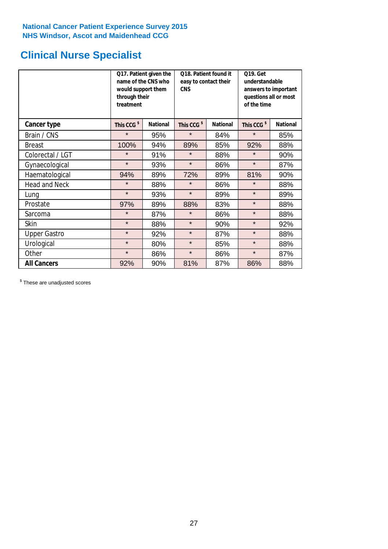# **Clinical Nurse Specialist**

|                      | would support them<br>through their<br>treatment | Q17. Patient given the<br>name of the CNS who | Q18. Patient found it<br>easy to contact their<br><b>CNS</b> |                 | <b>Q19. Get</b><br>understandable<br>answers to important<br>questions all or most<br>of the time |                 |
|----------------------|--------------------------------------------------|-----------------------------------------------|--------------------------------------------------------------|-----------------|---------------------------------------------------------------------------------------------------|-----------------|
| <b>Cancer type</b>   | This CCG <sup>\$</sup>                           | <b>National</b>                               | This CCG <sup>\$</sup>                                       | <b>National</b> | This CCG <sup>\$</sup>                                                                            | <b>National</b> |
| Brain / CNS          | $\star$                                          | 95%                                           | $\star$                                                      | 84%             | $\star$                                                                                           | 85%             |
| <b>Breast</b>        | 100%                                             | 94%                                           | 89%                                                          | 85%             | 92%                                                                                               | 88%             |
| Colorectal / LGT     | $\star$                                          | 91%                                           | $\star$                                                      | 88%             | $\star$                                                                                           | 90%             |
| Gynaecological       | $\star$                                          | 93%                                           | $\star$                                                      | 86%             | $\star$                                                                                           | 87%             |
| Haematological       | 94%                                              | 89%                                           | 72%                                                          | 89%             | 81%                                                                                               | 90%             |
| <b>Head and Neck</b> | $\star$                                          | 88%                                           | $\star$                                                      | 86%             | $\star$                                                                                           | 88%             |
| Lung                 | $\star$                                          | 93%                                           | $\star$                                                      | 89%             | $\star$                                                                                           | 89%             |
| Prostate             | 97%                                              | 89%                                           | 88%                                                          | 83%             | $\star$                                                                                           | 88%             |
| Sarcoma              | $\star$                                          | 87%                                           | $\star$                                                      | 86%             | $\star$                                                                                           | 88%             |
| Skin                 | $\star$                                          | 88%                                           | $\star$                                                      | 90%             | $\star$                                                                                           | 92%             |
| <b>Upper Gastro</b>  | $\star$                                          | 92%                                           | $\star$                                                      | 87%             | $\star$                                                                                           | 88%             |
| Urological           | $\star$                                          | 80%                                           | $\star$                                                      | 85%             | $\star$                                                                                           | 88%             |
| Other                | $\star$                                          | 86%                                           | $\star$                                                      | 86%             | $\star$                                                                                           | 87%             |
| <b>All Cancers</b>   | 92%                                              | 90%                                           | 81%                                                          | 87%             | 86%                                                                                               | 88%             |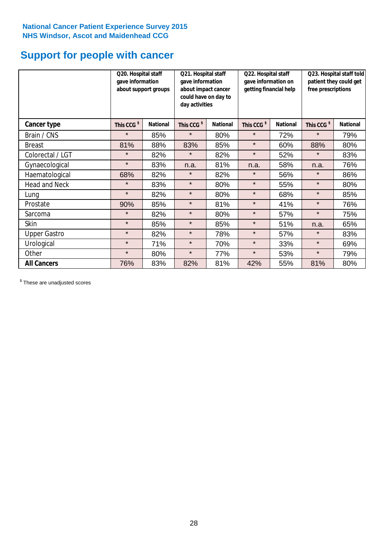# **Support for people with cancer**

|                      | Q20. Hospital staff<br>gave information | Q21. Hospital staff<br>gave information<br>about support groups<br>about impact cancer<br>could have on day to<br>day activities |                        |                 | Q22. Hospital staff<br>gave information on<br>getting financial help |                 | Q23. Hospital staff told<br>patient they could get<br>free prescriptions |                 |
|----------------------|-----------------------------------------|----------------------------------------------------------------------------------------------------------------------------------|------------------------|-----------------|----------------------------------------------------------------------|-----------------|--------------------------------------------------------------------------|-----------------|
| Cancer type          | This CCG <sup>\$</sup>                  | <b>National</b>                                                                                                                  | This CCG <sup>\$</sup> | <b>National</b> | This CCG <sup>\$</sup>                                               | <b>National</b> | This CCG <sup>\$</sup>                                                   | <b>National</b> |
| Brain / CNS          | $\star$                                 | 85%                                                                                                                              | $\star$                | 80%             | $\star$                                                              | 72%             | $\star$                                                                  | 79%             |
| <b>Breast</b>        | 81%                                     | 88%                                                                                                                              | 83%                    | 85%             | $\star$                                                              | 60%             | 88%                                                                      | 80%             |
| Colorectal / LGT     | $\star$                                 | 82%                                                                                                                              | $\star$                | 82%             | $\star$                                                              | 52%             | $\star$                                                                  | 83%             |
| Gynaecological       | $\star$                                 | 83%                                                                                                                              | n.a.                   | 81%             | n.a.                                                                 | 58%             | n.a.                                                                     | 76%             |
| Haematological       | 68%                                     | 82%                                                                                                                              | $\star$                | 82%             | $\star$                                                              | 56%             | $\star$                                                                  | 86%             |
| <b>Head and Neck</b> | $\star$                                 | 83%                                                                                                                              | $\star$                | 80%             | $\star$                                                              | 55%             | $\star$                                                                  | 80%             |
| Lung                 | $\star$                                 | 82%                                                                                                                              | $\star$                | 80%             | $\star$                                                              | 68%             | $\star$                                                                  | 85%             |
| Prostate             | 90%                                     | 85%                                                                                                                              | $\star$                | 81%             | $\star$                                                              | 41%             | $\star$                                                                  | 76%             |
| Sarcoma              | $\star$                                 | 82%                                                                                                                              | $\star$                | 80%             | $\star$                                                              | 57%             | $\star$                                                                  | 75%             |
| Skin                 | $\star$                                 | 85%                                                                                                                              | $\star$                | 85%             | $\star$                                                              | 51%             | n.a.                                                                     | 65%             |
| <b>Upper Gastro</b>  | $\star$                                 | 82%                                                                                                                              | $\star$                | 78%             | $\star$                                                              | 57%             | $\star$                                                                  | 83%             |
| Urological           | $\star$                                 | 71%                                                                                                                              | $\star$                | 70%             | $\star$                                                              | 33%             | $\star$                                                                  | 69%             |
| Other                | $\star$                                 | 80%                                                                                                                              | $\star$                | 77%             | $\star$                                                              | 53%             | $\star$                                                                  | 79%             |
| <b>All Cancers</b>   | 76%                                     | 83%                                                                                                                              | 82%                    | 81%             | 42%                                                                  | 55%             | 81%                                                                      | 80%             |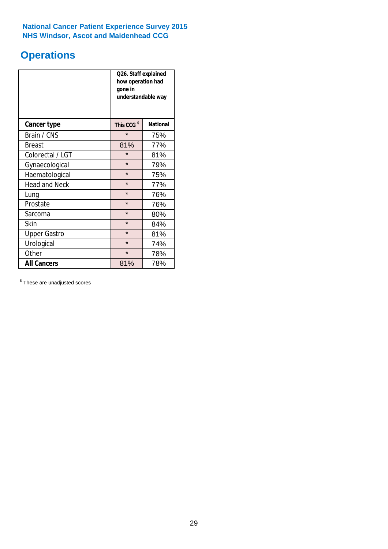# **Operations**

|                      | Q26. Staff explained<br>how operation had<br>gone in<br>understandable way |                 |  |  |
|----------------------|----------------------------------------------------------------------------|-----------------|--|--|
| <b>Cancer type</b>   | This CCG <sup>\$</sup>                                                     | <b>National</b> |  |  |
| Brain / CNS          | $\star$                                                                    | 75%             |  |  |
| <b>Breast</b>        | 81%                                                                        | 77%             |  |  |
| Colorectal / LGT     | $\star$                                                                    | 81%             |  |  |
| Gynaecological       | $\star$                                                                    | 79%             |  |  |
| Haematological       | $\star$<br>75%                                                             |                 |  |  |
| <b>Head and Neck</b> | $\star$                                                                    | 77%             |  |  |
| Lung                 | $\star$                                                                    | 76%             |  |  |
| Prostate             | $\star$                                                                    | 76%             |  |  |
| Sarcoma              | $\star$                                                                    | 80%             |  |  |
| Skin                 | $\star$                                                                    | 84%             |  |  |
| <b>Upper Gastro</b>  | $\star$                                                                    | 81%             |  |  |
| Urological           | $\star$                                                                    | 74%             |  |  |
| Other                | $\star$<br>78%                                                             |                 |  |  |
| <b>All Cancers</b>   | 81%                                                                        | 78%             |  |  |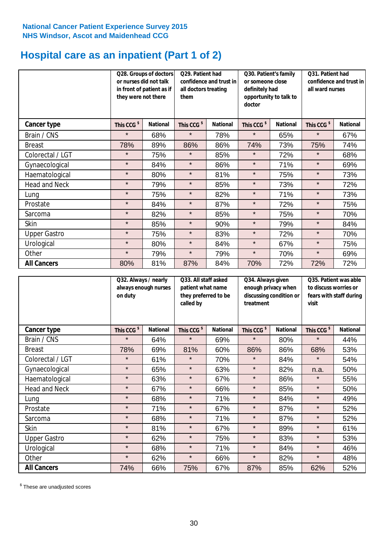# **Hospital care as an inpatient (Part 1 of 2)**

|                      | they were not there    | Q28. Groups of doctors<br>Q29. Patient had<br>or nurses did not talk<br>confidence and trust in<br>in front of patient as if<br>all doctors treating<br>them |                        | Q30. Patient's family<br>or someone close<br>definitely had<br>opportunity to talk to<br>doctor |                        | Q31. Patient had<br>confidence and trust in I<br>all ward nurses |                        |                 |
|----------------------|------------------------|--------------------------------------------------------------------------------------------------------------------------------------------------------------|------------------------|-------------------------------------------------------------------------------------------------|------------------------|------------------------------------------------------------------|------------------------|-----------------|
| Cancer type          | This CCG <sup>\$</sup> | <b>National</b>                                                                                                                                              | This CCG <sup>\$</sup> | <b>National</b>                                                                                 | This CCG <sup>\$</sup> | <b>National</b>                                                  | This CCG <sup>\$</sup> | <b>National</b> |
| Brain / CNS          | $\star$                | 68%                                                                                                                                                          | $\star$                | 78%                                                                                             | $\star$                | 65%                                                              | $\star$                | 67%             |
| <b>Breast</b>        | 78%                    | 89%                                                                                                                                                          | 86%                    | 86%                                                                                             | 74%                    | 73%                                                              | 75%                    | 74%             |
| Colorectal / LGT     | $\star$                | 75%                                                                                                                                                          | $\star$                | 85%                                                                                             | $\star$                | 72%                                                              | $\star$                | 68%             |
| Gynaecological       | $\star$                | 84%                                                                                                                                                          | $\star$                | 86%                                                                                             | $\star$                | 71%                                                              | $\star$                | 69%             |
| Haematological       | $\star$                | 80%                                                                                                                                                          | $\star$                | 81%                                                                                             | $\star$                | 75%                                                              | $\star$                | 73%             |
| <b>Head and Neck</b> | $\star$                | 79%                                                                                                                                                          | $\star$                | 85%                                                                                             | $\star$                | 73%                                                              | $\star$                | 72%             |
| Lung                 | $\star$                | 75%                                                                                                                                                          | $\star$                | 82%                                                                                             | $\star$                | 71%                                                              | $\star$                | 73%             |
| Prostate             | $\star$                | 84%                                                                                                                                                          | $\star$                | 87%                                                                                             | $\star$                | 72%                                                              | $\star$                | 75%             |
| Sarcoma              | $\star$                | 82%                                                                                                                                                          | $\star$                | 85%                                                                                             | $\star$                | 75%                                                              | $\star$                | 70%             |
| Skin                 | $\star$                | 85%                                                                                                                                                          | $\star$                | 90%                                                                                             | $\star$                | 79%                                                              | $\star$                | 84%             |
| <b>Upper Gastro</b>  | $\star$                | 75%                                                                                                                                                          | $\star$                | 83%                                                                                             | $\star$                | 72%                                                              | $\star$                | 70%             |
| Urological           | $\star$                | 80%                                                                                                                                                          | $\star$                | 84%                                                                                             | $\star$                | 67%                                                              | $\star$                | 75%             |
| Other                | $\star$                | 79%                                                                                                                                                          | $\star$                | 79%                                                                                             | $\star$                | 70%                                                              | $\star$                | 69%             |
| <b>All Cancers</b>   | 80%                    | 81%                                                                                                                                                          | 87%                    | 84%                                                                                             | 70%                    | 72%                                                              | 72%                    | 72%             |

|                      | Q32. Always / nearly<br>always enough nurses<br>on duty |                 | Q33. All staff asked<br>patient what name<br>they preferred to be<br>called by |                 | Q34. Always given<br>enough privacy when<br>discussing condition or<br>treatment |                 | Q35. Patient was able<br>to discuss worries or<br>fears with staff during<br>visit |                 |
|----------------------|---------------------------------------------------------|-----------------|--------------------------------------------------------------------------------|-----------------|----------------------------------------------------------------------------------|-----------------|------------------------------------------------------------------------------------|-----------------|
| <b>Cancer type</b>   | This CCG <sup>\$</sup>                                  | <b>National</b> | This CCG <sup>\$</sup>                                                         | <b>National</b> | This CCG <sup>\$</sup>                                                           | <b>National</b> | This CCG <sup>\$</sup>                                                             | <b>National</b> |
| Brain / CNS          | $\star$                                                 | 64%             | $\star$                                                                        | 69%             | $\star$                                                                          | 80%             | $\star$                                                                            | 44%             |
| <b>Breast</b>        | 78%                                                     | 69%             | 81%                                                                            | 60%             | 86%                                                                              | 86%             | 68%                                                                                | 53%             |
| Colorectal / LGT     | $\star$                                                 | 61%             | $\star$                                                                        | 70%             | $\star$                                                                          | 84%             | $\star$                                                                            | 54%             |
| Gynaecological       | $\star$                                                 | 65%             | $\star$                                                                        | 63%             | $\star$                                                                          | 82%             | n.a.                                                                               | 50%             |
| Haematological       | $\star$                                                 | 63%             | $\star$                                                                        | 67%             | $\star$                                                                          | 86%             | $\star$                                                                            | 55%             |
| <b>Head and Neck</b> | $\star$                                                 | 67%             | $\star$                                                                        | 66%             | $\star$                                                                          | 85%             | $\star$                                                                            | 50%             |
| Lung                 | $\star$                                                 | 68%             | $\star$                                                                        | 71%             | $\star$                                                                          | 84%             | $\star$                                                                            | 49%             |
| Prostate             | $\star$                                                 | 71%             | $\star$                                                                        | 67%             | $\star$                                                                          | 87%             | $\star$                                                                            | 52%             |
| Sarcoma              | $\star$                                                 | 68%             | $\star$                                                                        | 71%             | $\star$                                                                          | 87%             | $\star$                                                                            | 52%             |
| Skin                 | $\star$                                                 | 81%             | $\star$                                                                        | 67%             | $\star$                                                                          | 89%             | $\star$                                                                            | 61%             |
| <b>Upper Gastro</b>  | $\star$                                                 | 62%             | $\star$                                                                        | 75%             | $\star$                                                                          | 83%             | $\star$                                                                            | 53%             |
| Urological           | $\star$                                                 | 68%             | $\star$                                                                        | 71%             | $\star$                                                                          | 84%             | $\star$                                                                            | 46%             |
| Other                | $\star$                                                 | 62%             | $\star$                                                                        | 66%             | $\star$                                                                          | 82%             | $\star$                                                                            | 48%             |
| <b>All Cancers</b>   | 74%                                                     | 66%             | 75%                                                                            | 67%             | 87%                                                                              | 85%             | 62%                                                                                | 52%             |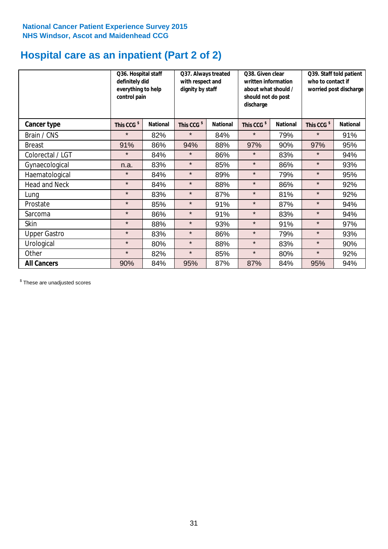# **Hospital care as an inpatient (Part 2 of 2)**

|                      | Q36. Hospital staff<br>definitely did<br>everything to help<br>control pain |                 | Q37. Always treated<br>with respect and<br>dignity by staff |                 | Q38. Given clear<br>written information<br>about what should /<br>should not do post<br>discharge |                 | Q39. Staff told patient<br>who to contact if<br>worried post discharge |                 |  |
|----------------------|-----------------------------------------------------------------------------|-----------------|-------------------------------------------------------------|-----------------|---------------------------------------------------------------------------------------------------|-----------------|------------------------------------------------------------------------|-----------------|--|
| Cancer type          | This CCG <sup>\$</sup>                                                      | <b>National</b> | This CCG <sup>\$</sup>                                      | <b>National</b> | This CCG <sup>\$</sup>                                                                            | <b>National</b> | This CCG <sup>\$</sup>                                                 | <b>National</b> |  |
| Brain / CNS          | $\star$                                                                     | 82%             | $\star$                                                     | 84%             | $\star$                                                                                           | 79%             | $\star$                                                                | 91%             |  |
| <b>Breast</b>        | 91%                                                                         | 86%             | 94%                                                         | 88%             | 97%                                                                                               | 90%             | 97%                                                                    | 95%             |  |
| Colorectal / LGT     | $\star$                                                                     | 84%             | $\star$                                                     | 86%             | $\star$                                                                                           | 83%             | $\star$                                                                | 94%             |  |
| Gynaecological       | n.a.                                                                        | 83%             | $\star$                                                     | 85%             | $\star$                                                                                           | 86%             | $\star$                                                                | 93%             |  |
| Haematological       | $\star$                                                                     | 84%             | $\star$                                                     | 89%             | $\star$                                                                                           | 79%             | $\star$                                                                | 95%             |  |
| <b>Head and Neck</b> | $\star$                                                                     | 84%             | $\star$                                                     | 88%             | $\star$                                                                                           | 86%             | $\star$                                                                | 92%             |  |
| Lung                 | $\star$                                                                     | 83%             | $\star$                                                     | 87%             | $\star$                                                                                           | 81%             | $\star$                                                                | 92%             |  |
| Prostate             | $\star$                                                                     | 85%             | $\star$                                                     | 91%             | $\star$                                                                                           | 87%             | $\star$                                                                | 94%             |  |
| Sarcoma              | $\star$                                                                     | 86%             | $\star$                                                     | 91%             | $\star$                                                                                           | 83%             | $\star$                                                                | 94%             |  |
| Skin                 | $\star$                                                                     | 88%             | $\star$                                                     | 93%             | $\star$                                                                                           | 91%             | $\star$                                                                | 97%             |  |
| <b>Upper Gastro</b>  | $\star$                                                                     | 83%             | $\star$                                                     | 86%             | $\star$                                                                                           | 79%             | $\star$                                                                | 93%             |  |
| Urological           | $\star$                                                                     | 80%             | $\star$                                                     | 88%             | $\star$                                                                                           | 83%             | $\star$                                                                | 90%             |  |
| Other                | $\star$                                                                     | 82%             | $\star$                                                     | 85%             | $\star$                                                                                           | 80%             | $\star$                                                                | 92%             |  |
| <b>All Cancers</b>   | 90%                                                                         | 84%             | 95%                                                         | 87%             | 87%                                                                                               | 84%             | 95%                                                                    | 94%             |  |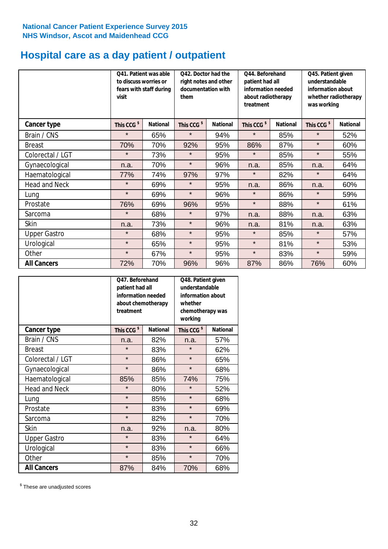# **Hospital care as a day patient / outpatient**

|                      | to discuss worries or<br>visit | Q41. Patient was able<br>fears with staff during | Q42. Doctor had the<br>right notes and other<br>documentation with<br>them |                 | Q44. Beforehand<br>patient had all<br>information needed<br>about radiotherapy<br>treatment |                 | Q45. Patient given<br>understandable<br>information about<br>whether radiotherapy<br>was working |                 |
|----------------------|--------------------------------|--------------------------------------------------|----------------------------------------------------------------------------|-----------------|---------------------------------------------------------------------------------------------|-----------------|--------------------------------------------------------------------------------------------------|-----------------|
| Cancer type          | This CCG <sup>\$</sup>         | <b>National</b>                                  | This CCG <sup>\$</sup>                                                     | <b>National</b> | This CCG <sup>\$</sup>                                                                      | <b>National</b> | This CCG <sup>\$</sup>                                                                           | <b>National</b> |
| Brain / CNS          | $\star$                        | 65%                                              | $\star$                                                                    | 94%             | $\star$                                                                                     | 85%             | $\star$                                                                                          | 52%             |
| <b>Breast</b>        | 70%                            | 70%                                              | 92%                                                                        | 95%             | 86%                                                                                         | 87%             | $\star$                                                                                          | 60%             |
| Colorectal / LGT     | $\star$                        | 73%                                              | $\star$                                                                    | 95%             | $\star$                                                                                     | 85%             | $\star$                                                                                          | 55%             |
| Gynaecological       | n.a.                           | 70%                                              | $\star$                                                                    | 96%             | n.a.                                                                                        | 85%             | n.a.                                                                                             | 64%             |
| Haematological       | 77%                            | 74%                                              | 97%                                                                        | 97%             | $\star$                                                                                     | 82%             | $\star$                                                                                          | 64%             |
| <b>Head and Neck</b> | $\star$                        | 69%                                              | $\star$                                                                    | 95%             | n.a.                                                                                        | 86%             | n.a.                                                                                             | 60%             |
| Lung                 | $\star$                        | 69%                                              | $\star$                                                                    | 96%             | $\star$                                                                                     | 86%             | $\star$                                                                                          | 59%             |
| Prostate             | 76%                            | 69%                                              | 96%                                                                        | 95%             | $\star$                                                                                     | 88%             | $\star$                                                                                          | 61%             |
| Sarcoma              | $\star$                        | 68%                                              | $\star$                                                                    | 97%             | n.a.                                                                                        | 88%             | n.a.                                                                                             | 63%             |
| Skin                 | n.a.                           | 73%                                              | $\star$                                                                    | 96%             | n.a.                                                                                        | 81%             | n.a.                                                                                             | 63%             |
| <b>Upper Gastro</b>  | $\star$                        | 68%                                              | $\star$                                                                    | 95%             | $\star$                                                                                     | 85%             | $\star$                                                                                          | 57%             |
| Urological           | $\star$                        | 65%                                              | $\star$                                                                    | 95%             | $\star$                                                                                     | 81%             | $\star$                                                                                          | 53%             |
| Other                | $\star$                        | 67%                                              | $\star$                                                                    | 95%             | $\star$                                                                                     | 83%             | $\star$                                                                                          | 59%             |
| <b>All Cancers</b>   | 72%                            | 70%                                              | 96%                                                                        | 96%             | 87%                                                                                         | 86%             | 76%                                                                                              | 60%             |

|                      | O47. Beforehand<br>patient had all<br>information needed<br>about chemotherapy<br>treatment |                 | Q48. Patient given<br>understandable<br>information about<br>whether<br>chemotherapy was<br>working |                 |  |
|----------------------|---------------------------------------------------------------------------------------------|-----------------|-----------------------------------------------------------------------------------------------------|-----------------|--|
| <b>Cancer type</b>   | This CCG <sup>\$</sup>                                                                      | <b>National</b> | This CCG <sup>\$</sup>                                                                              | <b>National</b> |  |
| Brain / CNS          | n.a.                                                                                        | 82%             | n.a.                                                                                                | 57%             |  |
| <b>Breast</b>        | $\star$                                                                                     | 83%             | $\star$                                                                                             | 62%             |  |
| Colorectal / LGT     | $\star$                                                                                     | 86%             | $\star$                                                                                             | 65%             |  |
| Gynaecological       | $\star$                                                                                     | 86%             | $\star$                                                                                             | 68%             |  |
| Haematological       | 85%<br>85%                                                                                  |                 | 74%                                                                                                 | 75%             |  |
| <b>Head and Neck</b> | $\star$                                                                                     | 80%             | $\star$                                                                                             | 52%             |  |
| Lung                 | $\star$                                                                                     | 85%             | $\star$                                                                                             | 68%             |  |
| Prostate             | $\star$                                                                                     | 83%             | $\star$                                                                                             | 69%             |  |
| Sarcoma              | $\star$                                                                                     | 82%             | $\star$                                                                                             | 70%             |  |
| Skin                 | n.a.                                                                                        | 92%             | n.a.                                                                                                | 80%             |  |
| <b>Upper Gastro</b>  | $\star$                                                                                     | 83%             | $\star$                                                                                             | 64%             |  |
| Urological           | $\star$                                                                                     | 83%             | $\star$                                                                                             | 66%             |  |
| Other                | $\star$                                                                                     | 85%             | $\star$                                                                                             | 70%             |  |
| <b>All Cancers</b>   | 87%                                                                                         | 84%             | 70%                                                                                                 | 68%             |  |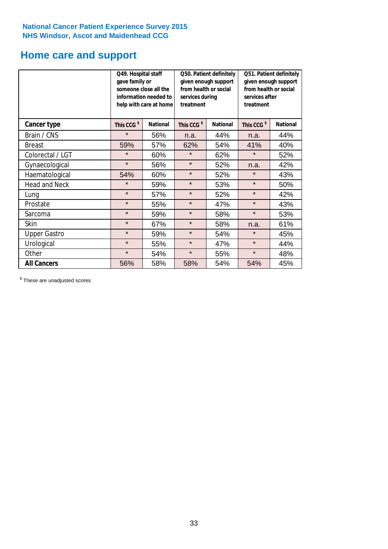# **Home care and support**

|                      | Q49. Hospital staff<br>gave family or | someone close all the<br>information needed to<br>help with care at home | Q50. Patient definitely<br>given enough support<br>from health or social<br>services during<br>treatment |                 | Q51. Patient definitely<br>given enough support<br>from health or social<br>services after<br>treatment |                 |  |
|----------------------|---------------------------------------|--------------------------------------------------------------------------|----------------------------------------------------------------------------------------------------------|-----------------|---------------------------------------------------------------------------------------------------------|-----------------|--|
| <b>Cancer type</b>   | This CCG <sup>\$</sup>                | <b>National</b>                                                          | This CCG <sup>\$</sup>                                                                                   | <b>National</b> | This CCG <sup>\$</sup>                                                                                  | <b>National</b> |  |
| Brain / CNS          | $\star$                               | 56%                                                                      | n.a.                                                                                                     | 44%             | n.a.                                                                                                    | 44%             |  |
| <b>Breast</b>        | 59%                                   | 57%                                                                      | 62%                                                                                                      | 54%             | 41%                                                                                                     | 40%             |  |
| Colorectal / LGT     | $\star$                               | 60%                                                                      | $\star$                                                                                                  | 62%             | $\star$                                                                                                 | 52%             |  |
| Gynaecological       | $\star$                               | 56%                                                                      | $\star$                                                                                                  | 52%             | n.a.                                                                                                    | 42%             |  |
| Haematological       | 54%                                   | 60%                                                                      | $\star$                                                                                                  | 52%             | $\star$                                                                                                 | 43%             |  |
| <b>Head and Neck</b> | $\star$                               | 59%                                                                      | $\star$                                                                                                  | 53%             | $\star$                                                                                                 | 50%             |  |
| Lung                 | $\star$                               | 57%                                                                      | $\star$                                                                                                  | 52%             | $\star$                                                                                                 | 42%             |  |
| Prostate             | $\star$                               | 55%                                                                      | $\star$                                                                                                  | 47%             | $\star$                                                                                                 | 43%             |  |
| Sarcoma              | $\star$                               | 59%                                                                      | $\star$                                                                                                  | 58%             | $\star$                                                                                                 | 53%             |  |
| Skin                 | $\star$                               | 67%                                                                      | $\star$                                                                                                  | 58%             | n.a.                                                                                                    | 61%             |  |
| <b>Upper Gastro</b>  | $\star$                               | 59%                                                                      | $\star$                                                                                                  | 54%             | $\star$                                                                                                 | 45%             |  |
| Urological           | $\star$                               | 55%                                                                      | $\star$                                                                                                  | 47%             | $\star$                                                                                                 | 44%             |  |
| Other                | $\star$                               | 54%                                                                      | $\star$<br>55%                                                                                           |                 | $\star$                                                                                                 | 48%             |  |
| <b>All Cancers</b>   | 56%                                   | 58%                                                                      | 58%                                                                                                      | 54%             | 54%                                                                                                     | 45%             |  |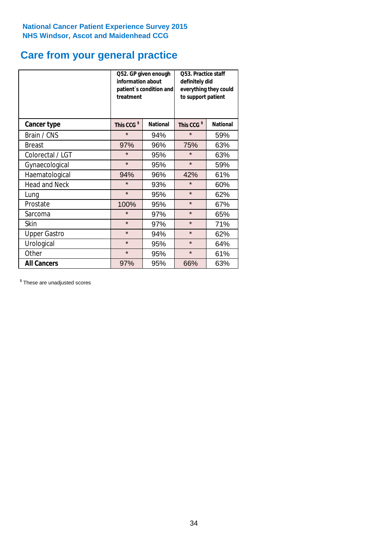# **Care from your general practice**

|                      | information about<br>treatment | Q52. GP given enough<br>patient's condition and | O53. Practice staff<br>definitely did<br>everything they could<br>to support patient |                 |  |
|----------------------|--------------------------------|-------------------------------------------------|--------------------------------------------------------------------------------------|-----------------|--|
| <b>Cancer type</b>   | This CCG <sup>\$</sup>         | <b>National</b>                                 | This CCG <sup>\$</sup>                                                               | <b>National</b> |  |
| Brain / CNS          | $\star$                        | 94%                                             | $\star$                                                                              | 59%             |  |
| <b>Breast</b>        | 97%                            | 96%                                             | 75%                                                                                  | 63%             |  |
| Colorectal / LGT     | $\star$                        | 95%                                             | $\star$                                                                              | 63%             |  |
| Gynaecological       | $\star$<br>95%                 |                                                 | $\star$                                                                              | 59%             |  |
| Haematological       | 94%                            | 96%                                             | 42%                                                                                  | 61%             |  |
| <b>Head and Neck</b> | $\star$                        | 93%                                             | $\star$                                                                              | 60%             |  |
| Lung                 | $\star$                        | 95%                                             | $\star$                                                                              | 62%             |  |
| Prostate             | 100%                           | 95%                                             | $\star$                                                                              | 67%             |  |
| Sarcoma              | $\star$                        | 97%                                             | $\star$                                                                              | 65%             |  |
| Skin                 | $\star$                        | 97%                                             | $\star$                                                                              | 71%             |  |
| <b>Upper Gastro</b>  | $\star$                        | 94%                                             | $\star$                                                                              | 62%             |  |
| Urological           | $\star$                        | 95%                                             | $\star$                                                                              | 64%             |  |
| Other                | $\star$                        | 95%                                             | $\star$                                                                              | 61%             |  |
| <b>All Cancers</b>   | 97%                            | 95%                                             | 66%                                                                                  | 63%             |  |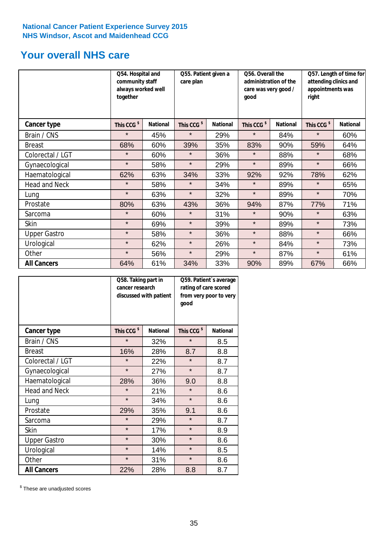# **Your overall NHS care**

|                      | together               | Q54. Hospital and<br>community staff<br>always worked well |                        | Q55. Patient given a<br>qood |                        | Q56. Overall the<br>administration of the<br>care was very good / |                        | Q57. Length of time for<br>attending clinics and<br>appointments was<br>right |  |
|----------------------|------------------------|------------------------------------------------------------|------------------------|------------------------------|------------------------|-------------------------------------------------------------------|------------------------|-------------------------------------------------------------------------------|--|
| <b>Cancer type</b>   | This CCG <sup>\$</sup> | <b>National</b>                                            | This CCG <sup>\$</sup> | <b>National</b>              | This CCG <sup>\$</sup> | <b>National</b>                                                   | This CCG <sup>\$</sup> | <b>National</b>                                                               |  |
| Brain / CNS          | $\star$                | 45%                                                        | $\star$                | 29%                          | $\star$                | 84%                                                               | $\star$                | 60%                                                                           |  |
| <b>Breast</b>        | 68%                    | 60%                                                        | 39%                    | 35%                          | 83%                    | 90%                                                               | 59%                    | 64%                                                                           |  |
| Colorectal / LGT     | $\star$                | 60%                                                        | $\star$                | 36%                          | $\star$                | 88%                                                               | $\star$                | 68%                                                                           |  |
| Gynaecological       | $\star$                | 58%                                                        | $\star$                | 29%                          | $\star$                | 89%                                                               | $\star$                | 66%                                                                           |  |
| Haematological       | 62%                    | 63%                                                        | 34%                    | 33%                          | 92%                    | 92%                                                               | 78%                    | 62%                                                                           |  |
| <b>Head and Neck</b> | $\star$                | 58%                                                        | $\star$                | 34%                          | $\star$                | 89%                                                               | $\star$                | 65%                                                                           |  |
| Lung                 | $\star$                | 63%                                                        | $\star$                | 32%                          | $\star$                | 89%                                                               | $\star$                | 70%                                                                           |  |
| Prostate             | 80%                    | 63%                                                        | 43%                    | 36%                          | 94%                    | 87%                                                               | 77%                    | 71%                                                                           |  |
| Sarcoma              | $\star$                | 60%                                                        | $\star$                | 31%                          | $\star$                | 90%                                                               | $\star$                | 63%                                                                           |  |
| Skin                 | $\star$                | 69%                                                        | $\star$                | 39%                          | $\star$                | 89%                                                               | $\star$                | 73%                                                                           |  |
| <b>Upper Gastro</b>  | $\star$                | 58%                                                        | $\star$                | 36%                          | $\star$                | 88%                                                               | $\star$                | 66%                                                                           |  |
| Urological           | $\star$                | 62%                                                        | $\star$                | 26%                          | $\star$                | 84%                                                               | $\star$                | 73%                                                                           |  |
| Other                | $\star$                | 56%                                                        | $\star$                | 29%                          | $\star$                | 87%                                                               | $\star$                | 61%                                                                           |  |
| <b>All Cancers</b>   | 64%                    | 61%                                                        | 34%                    | 33%                          | 90%                    | 89%                                                               | 67%                    | 66%                                                                           |  |

|                      | Q58. Taking part in<br>cancer research | discussed with patient | Q59. Patient's average<br>rating of care scored<br>from very poor to very<br>good |                 |  |
|----------------------|----------------------------------------|------------------------|-----------------------------------------------------------------------------------|-----------------|--|
| <b>Cancer type</b>   | This CCG <sup>\$</sup>                 | <b>National</b>        | This CCG <sup>\$</sup>                                                            | <b>National</b> |  |
| Brain / CNS          | $\star$                                | 32%                    | $\star$                                                                           | 8.5             |  |
| <b>Breast</b>        | 16%                                    | 28%                    | 8.7                                                                               | 8.8             |  |
| Colorectal / LGT     | $\star$                                | 22%                    | $\star$                                                                           | 8.7             |  |
| Gynaecological       | $\star$<br>27%                         |                        | $\star$                                                                           | 8.7             |  |
| Haematological       | 28%                                    | 36%                    | 9.0                                                                               | 8.8             |  |
| <b>Head and Neck</b> | $\star$                                | 21%                    | $\star$                                                                           | 8.6             |  |
| Lung                 | $\star$                                | 34%                    | $\star$                                                                           | 8.6             |  |
| Prostate             | 29%                                    | 35%                    | 9.1                                                                               | 8.6             |  |
| Sarcoma              | $\star$                                | 29%                    | $\star$                                                                           | 8.7             |  |
| <b>Skin</b>          | $\star$                                | 17%                    | $\star$                                                                           | 8.9             |  |
| <b>Upper Gastro</b>  | $\star$                                | 30%                    | $\star$                                                                           | 8.6             |  |
| Urological           | $\star$                                | 14%                    | $\star$                                                                           | 8.5             |  |
| Other                | $\star$                                | 31%                    | $\star$                                                                           | 8.6             |  |
| <b>All Cancers</b>   | 22%                                    | 28%                    | 8.8                                                                               | 8.7             |  |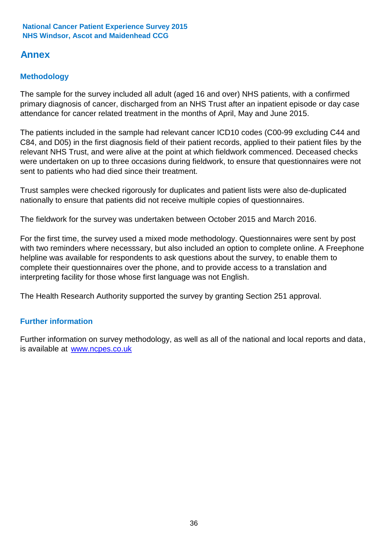# **Annex**

### **Methodology**

The sample for the survey included all adult (aged 16 and over) NHS patients, with a confirmed primary diagnosis of cancer, discharged from an NHS Trust after an inpatient episode or day case attendance for cancer related treatment in the months of April, May and June 2015.

The patients included in the sample had relevant cancer ICD10 codes (C00-99 excluding C44 and C84, and D05) in the first diagnosis field of their patient records, applied to their patient files by the relevant NHS Trust, and were alive at the point at which fieldwork commenced. Deceased checks were undertaken on up to three occasions during fieldwork, to ensure that questionnaires were not sent to patients who had died since their treatment.

Trust samples were checked rigorously for duplicates and patient lists were also de-duplicated nationally to ensure that patients did not receive multiple copies of questionnaires.

The fieldwork for the survey was undertaken between October 2015 and March 2016.

For the first time, the survey used a mixed mode methodology. Questionnaires were sent by post with two reminders where necesssary, but also included an option to complete online. A Freephone helpline was available for respondents to ask questions about the survey, to enable them to complete their questionnaires over the phone, and to provide access to a translation and interpreting facility for those whose first language was not English.

The Health Research Authority supported the survey by granting Section 251 approval.

### **Further information**

Further information on survey methodology, as well as all of the national and local reports and data, is available at www.ncpes.co.uk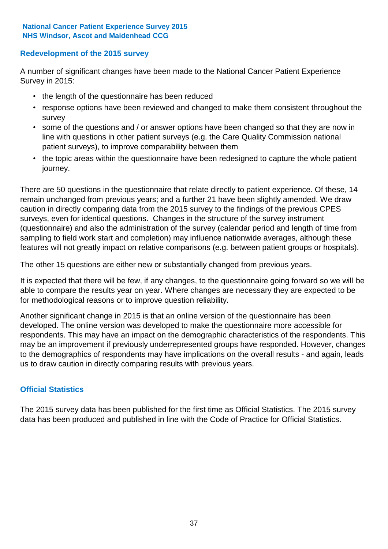### **Redevelopment of the 2015 survey**

A number of significant changes have been made to the National Cancer Patient Experience Survey in 2015:

- the length of the questionnaire has been reduced
- response options have been reviewed and changed to make them consistent throughout the survey
- some of the questions and / or answer options have been changed so that they are now in line with questions in other patient surveys (e.g. the Care Quality Commission national patient surveys), to improve comparability between them
- the topic areas within the questionnaire have been redesigned to capture the whole patient journey.

There are 50 questions in the questionnaire that relate directly to patient experience. Of these, 14 remain unchanged from previous years; and a further 21 have been slightly amended. We draw caution in directly comparing data from the 2015 survey to the findings of the previous CPES surveys, even for identical questions. Changes in the structure of the survey instrument (questionnaire) and also the administration of the survey (calendar period and length of time from sampling to field work start and completion) may influence nationwide averages, although these features will not greatly impact on relative comparisons (e.g. between patient groups or hospitals).

The other 15 questions are either new or substantially changed from previous years.

It is expected that there will be few, if any changes, to the questionnaire going forward so we will be able to compare the results year on year. Where changes are necessary they are expected to be for methodological reasons or to improve question reliability.

Another significant change in 2015 is that an online version of the questionnaire has been developed. The online version was developed to make the questionnaire more accessible for respondents. This may have an impact on the demographic characteristics of the respondents. This may be an improvement if previously underrepresented groups have responded. However, changes to the demographics of respondents may have implications on the overall results - and again, leads us to draw caution in directly comparing results with previous years.

### **Official Statistics**

The 2015 survey data has been published for the first time as Official Statistics. The 2015 survey data has been produced and published in line with the Code of Practice for Official Statistics.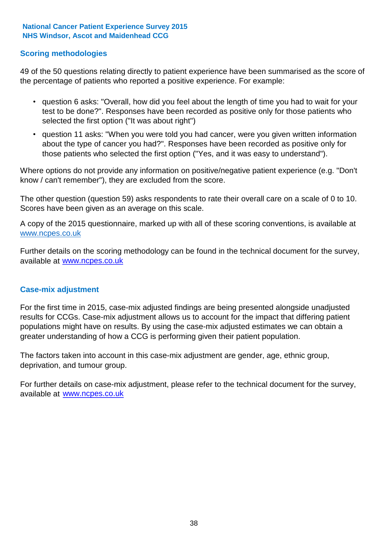### **Scoring methodologies**

49 of the 50 questions relating directly to patient experience have been summarised as the score of the percentage of patients who reported a positive experience. For example:

- question 6 asks: "Overall, how did you feel about the length of time you had to wait for your test to be done?". Responses have been recorded as positive only for those patients who selected the first option ("It was about right")
- question 11 asks: "When you were told you had cancer, were you given written information about the type of cancer you had?". Responses have been recorded as positive only for those patients who selected the first option ("Yes, and it was easy to understand").

Where options do not provide any information on positive/negative patient experience (e.g. "Don't know / can't remember"), they are excluded from the score.

The other question (question 59) asks respondents to rate their overall care on a scale of 0 to 10. Scores have been given as an average on this scale.

A copy of the 2015 questionnaire, marked up with all of these scoring conventions, is available at www.ncpes.co.uk

Further details on the scoring methodology can be found in the technical document for the survey, available at <u>www.ncpes.co.uk</u>

#### **Case-mix adjustment**

For the first time in 2015, case-mix adjusted findings are being presented alongside unadjusted results for CCGs. Case-mix adjustment allows us to account for the impact that differing patient populations might have on results. By using the case-mix adjusted estimates we can obtain a greater understanding of how a CCG is performing given their patient population.

The factors taken into account in this case-mix adjustment are gender, age, ethnic group, deprivation, and tumour group.

For further details on case-mix adjustment, please refer to the technical document for the survey, available at www.ncpes.co.uk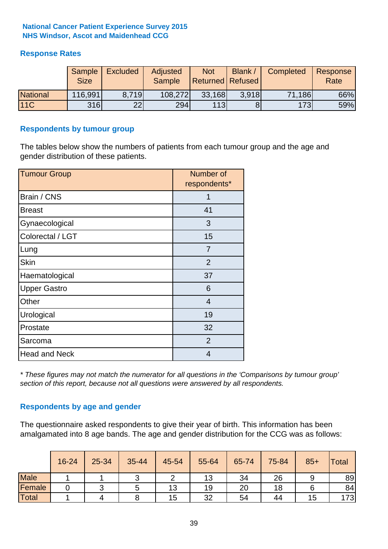### **Response Rates**

|                 | Sample<br><b>Size</b> | <b>Excluded</b> | Adjusted<br><b>Sample</b> | <b>Not</b><br>Returned Refused | Blank / | Completed | Response<br>Rate |
|-----------------|-----------------------|-----------------|---------------------------|--------------------------------|---------|-----------|------------------|
| <b>National</b> | 116,991               | 8.719           | 108,272                   | 33,168                         | 3.918   | 71,186    | 66%              |
| <b>11C</b>      | 316                   | 22              | 294                       | 113                            |         | 173       | 59%              |

#### **Respondents by tumour group**

The tables below show the numbers of patients from each tumour group and the age and gender distribution of these patients.

| <b>Tumour Group</b>  | Number of<br>respondents* |  |  |
|----------------------|---------------------------|--|--|
| Brain / CNS          |                           |  |  |
| <b>Breast</b>        | 41                        |  |  |
| Gynaecological       | 3                         |  |  |
| Colorectal / LGT     | 15                        |  |  |
| Lung                 | 7                         |  |  |
| <b>Skin</b>          | 2                         |  |  |
| Haematological       | 37                        |  |  |
| <b>Upper Gastro</b>  | 6                         |  |  |
| Other                | $\overline{4}$            |  |  |
| Urological           | 19                        |  |  |
| Prostate             | 32                        |  |  |
| Sarcoma              | 2                         |  |  |
| <b>Head and Neck</b> | 4                         |  |  |

*\* These figures may not match the numerator for all questions in the 'Comparisons by tumour group' section of this report, because not all questions were answered by all respondents.*

### **Respondents by age and gender**

The questionnaire asked respondents to give their year of birth. This information has been amalgamated into 8 age bands. The age and gender distribution for the CCG was as follows:

|             | 16-24 | 25-34 | 35-44 | 45-54 | 55-64 | 65-74 | 75-84 | $85+$ | <b>Total</b> |
|-------------|-------|-------|-------|-------|-------|-------|-------|-------|--------------|
| <b>Male</b> |       |       |       |       | 13    | 34    | 26    |       | 89           |
| Female      |       |       |       | 13    | 19    | 20    | 18    |       | 84           |
| Total       |       |       |       | 15    | 32    | 54    | 44    | 15    | 173          |